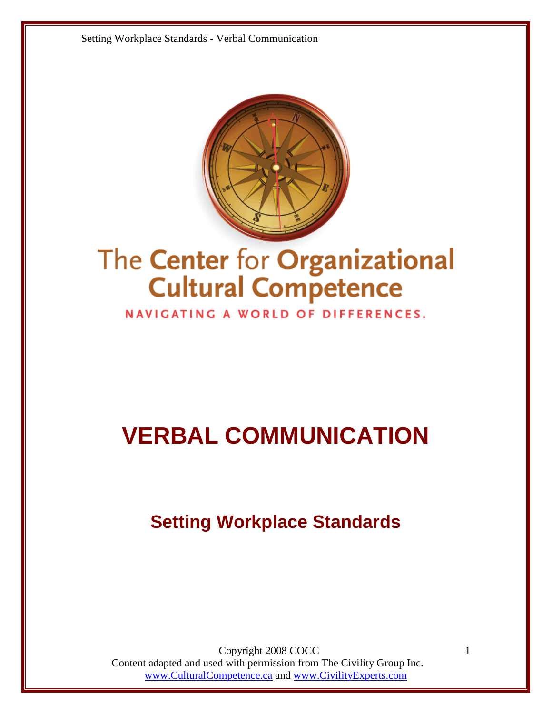

# The Center for Organizational **Cultural Competence**

NAVIGATING A WORLD OF DIFFERENCES.

# **VERBAL COMMUNICATION**

# **Setting Workplace Standards**

Copyright 2008 COCC Content adapted and used with permission from The Civility Group Inc. www.CulturalCompetence.ca and www.CivilityExperts.com

1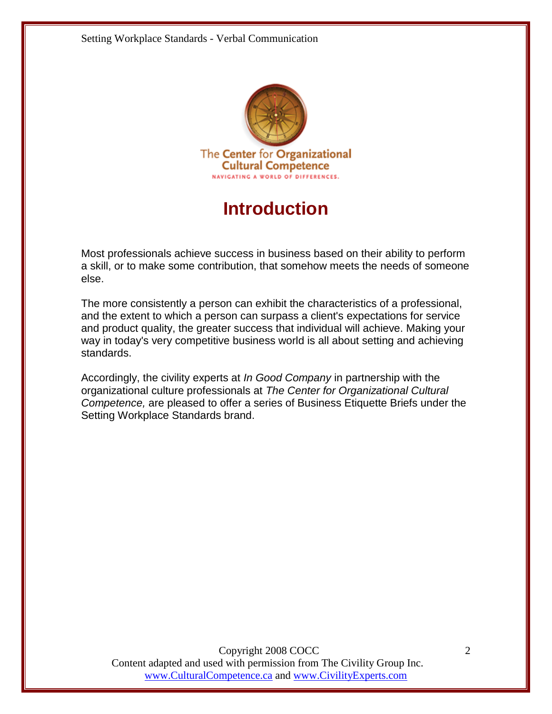

## **Introduction**

Most professionals achieve success in business based on their ability to perform a skill, or to make some contribution, that somehow meets the needs of someone else.

The more consistently a person can exhibit the characteristics of a professional, and the extent to which a person can surpass a client's expectations for service and product quality, the greater success that individual will achieve. Making your way in today's very competitive business world is all about setting and achieving standards.

Accordingly, the civility experts at *In Good Company* in partnership with the organizational culture professionals at *The Center for Organizational Cultural Competence,* are pleased to offer a series of Business Etiquette Briefs under the Setting Workplace Standards brand.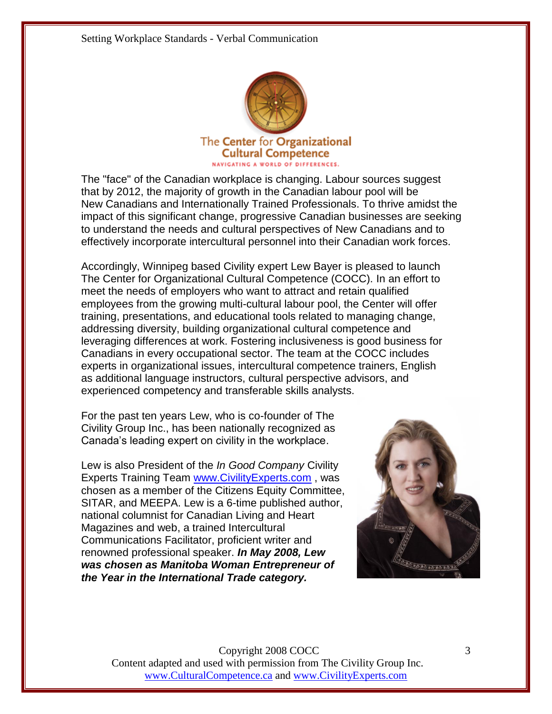

The "face" of the Canadian workplace is changing. Labour sources suggest that by 2012, the majority of growth in the Canadian labour pool will be New Canadians and Internationally Trained Professionals. To thrive amidst the impact of this significant change, progressive Canadian businesses are seeking to understand the needs and cultural perspectives of New Canadians and to effectively incorporate intercultural personnel into their Canadian work forces.

Accordingly, Winnipeg based Civility expert Lew Bayer is pleased to launch The Center for Organizational Cultural Competence (COCC). In an effort to meet the needs of employers who want to attract and retain qualified employees from the growing multi-cultural labour pool, the Center will offer training, presentations, and educational tools related to managing change, addressing diversity, building organizational cultural competence and leveraging differences at work. Fostering inclusiveness is good business for Canadians in every occupational sector. The team at the COCC includes experts in organizational issues, intercultural competence trainers, English as additional language instructors, cultural perspective advisors, and experienced competency and transferable skills analysts.

For the past ten years Lew, who is co-founder of The Civility Group Inc., has been nationally recognized as Canada's leading expert on civility in the workplace.

Lew is also President of the *In Good Company* Civility Experts Training Team [www.CivilityExperts.com](http://www.civilityexperts.com/) , was chosen as a member of the Citizens Equity Committee, SITAR, and MEEPA. Lew is a 6-time published author, national columnist for Canadian Living and Heart Magazines and web, a trained Intercultural Communications Facilitator, proficient writer and renowned professional speaker. *In May 2008, Lew was chosen as Manitoba Woman Entrepreneur of the Year in the International Trade category.*

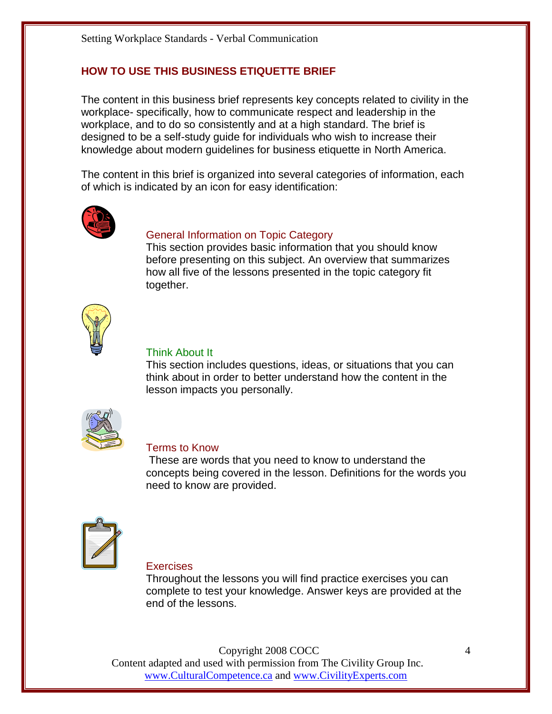#### **HOW TO USE THIS BUSINESS ETIQUETTE BRIEF**

The content in this business brief represents key concepts related to civility in the workplace- specifically, how to communicate respect and leadership in the workplace, and to do so consistently and at a high standard. The brief is designed to be a self-study guide for individuals who wish to increase their knowledge about modern guidelines for business etiquette in North America.

The content in this brief is organized into several categories of information, each of which is indicated by an icon for easy identification:



#### General Information on Topic Category

This section provides basic information that you should know before presenting on this subject. An overview that summarizes how all five of the lessons presented in the topic category fit together.



#### Think About It

This section includes questions, ideas, or situations that you can think about in order to better understand how the content in the lesson impacts you personally.



#### Terms to Know

 These are words that you need to know to understand the concepts being covered in the lesson. Definitions for the words you need to know are provided.



#### **Exercises**

Throughout the lessons you will find practice exercises you can complete to test your knowledge. Answer keys are provided at the end of the lessons.

Copyright 2008 COCC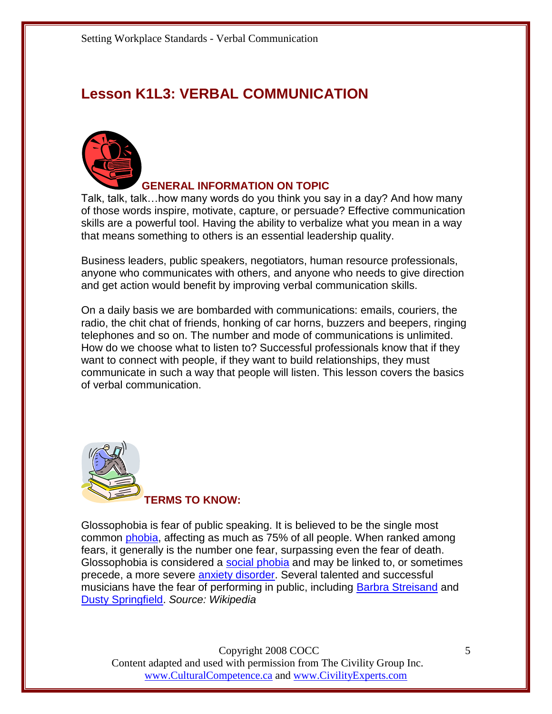### **Lesson K1L3: VERBAL COMMUNICATION**



#### **GENERAL INFORMATION ON TOPIC**

Talk, talk, talk…how many words do you think you say in a day? And how many of those words inspire, motivate, capture, or persuade? Effective communication skills are a powerful tool. Having the ability to verbalize what you mean in a way that means something to others is an essential leadership quality.

Business leaders, public speakers, negotiators, human resource professionals, anyone who communicates with others, and anyone who needs to give direction and get action would benefit by improving verbal communication skills.

On a daily basis we are bombarded with communications: emails, couriers, the radio, the chit chat of friends, honking of car horns, buzzers and beepers, ringing telephones and so on. The number and mode of communications is unlimited. How do we choose what to listen to? Successful professionals know that if they want to connect with people, if they want to build relationships, they must communicate in such a way that people will listen. This lesson covers the basics of verbal communication.



Glossophobia is fear of public speaking. It is believed to be the single most common [phobia,](http://en.wikipedia.org/wiki/Phobia) affecting as much as 75% of all people. When ranked among fears, it generally is the number one fear, surpassing even the fear of death. Glossophobia is considered a [social phobia](http://en.wikipedia.org/wiki/Social_phobia) and may be linked to, or sometimes precede, a more severe [anxiety disorder.](http://en.wikipedia.org/wiki/Anxiety_disorder) Several talented and successful musicians have the fear of performing in public, including [Barbra Streisand](http://en.wikipedia.org/wiki/Barbra_Streisand) and [Dusty Springfield.](http://en.wikipedia.org/wiki/Dusty_Springfield) *Source: Wikipedia*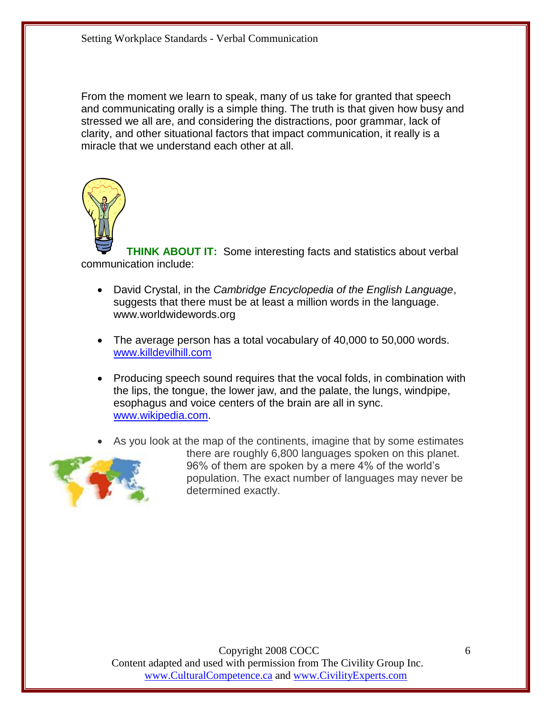From the moment we learn to speak, many of us take for granted that speech and communicating orally is a simple thing. The truth is that given how busy and stressed we all are, and considering the distractions, poor grammar, lack of clarity, and other situational factors that impact communication, it really is a miracle that we understand each other at all.



**THINK ABOUT IT:** Some interesting facts and statistics about verbal communication include:

- David Crystal, in the *Cambridge Encyclopedia of the English Language*, suggests that there must be at least a million words in the language. www.worldwidewords.org
- The average person has a total vocabulary of 40,000 to 50,000 words. [www.killdevilhill.com](http://www.killdevilhill.com/)
- Producing speech sound requires that the vocal folds, in combination with the lips, the tongue, the lower jaw, and the palate, the lungs, windpipe, esophagus and voice centers of the brain are all in sync. [www.wikipedia.com.](http://www.wikipedia.com/)
- As you look at the map of the continents, imagine that by some estimates



there are roughly 6,800 languages spoken on this planet. 96% of them are spoken by a mere 4% of the world's population. The exact number of languages may never be determined exactly.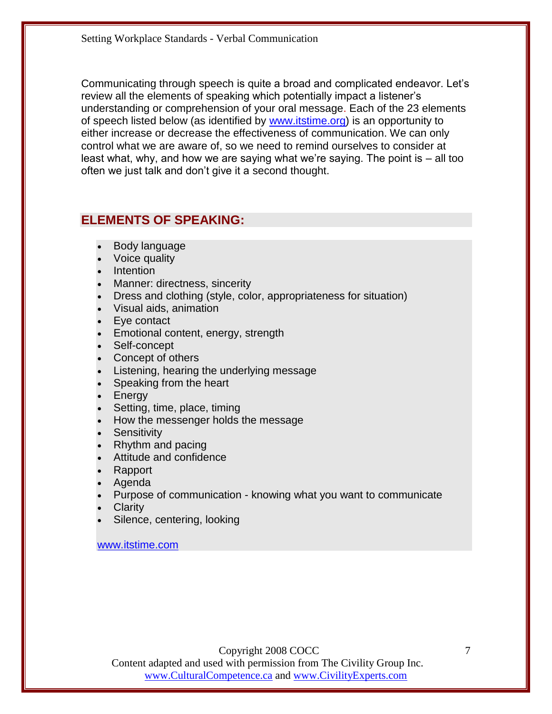Communicating through speech is quite a broad and complicated endeavor. Let's review all the elements of speaking which potentially impact a listener's understanding or comprehension of your oral message. Each of the 23 elements of speech listed below (as identified by [www.itstime.org\)](http://www.itstime.org/) is an opportunity to either increase or decrease the effectiveness of communication. We can only control what we are aware of, so we need to remind ourselves to consider at least what, why, and how we are saying what we're saying. The point is – all too often we just talk and don't give it a second thought.

#### **ELEMENTS OF SPEAKING:**

- Body language
- Voice quality
- Intention
- Manner: directness, sincerity
- Dress and clothing (style, color, appropriateness for situation)
- Visual aids, animation
- Eye contact
- **Emotional content, energy, strength**
- Self-concept
- Concept of others
- Listening, hearing the underlying message
- Speaking from the heart
- Energy
- Setting, time, place, timing
- How the messenger holds the message
- **Sensitivity**
- Rhythm and pacing
- Attitude and confidence
- Rapport
- Agenda
- Purpose of communication knowing what you want to communicate
- **Clarity**
- Silence, centering, looking

[www.itstime.com](http://www.itstime.com/)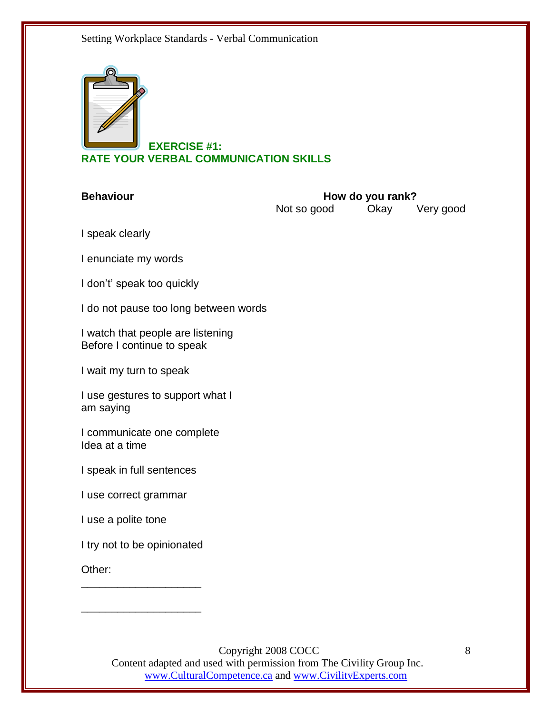

\_\_\_\_\_\_\_\_\_\_\_\_\_\_\_\_\_\_\_\_

#### **EXERCISE #1: RATE YOUR VERBAL COMMUNICATION SKILLS**

| <b>Behaviour</b>                                                | How do you rank?<br>Not so good<br>Okay<br>Very good |  |  |
|-----------------------------------------------------------------|------------------------------------------------------|--|--|
| I speak clearly                                                 |                                                      |  |  |
| I enunciate my words                                            |                                                      |  |  |
| I don't' speak too quickly                                      |                                                      |  |  |
| I do not pause too long between words                           |                                                      |  |  |
| I watch that people are listening<br>Before I continue to speak |                                                      |  |  |
| I wait my turn to speak                                         |                                                      |  |  |
| I use gestures to support what I<br>am saying                   |                                                      |  |  |
| I communicate one complete<br>Idea at a time                    |                                                      |  |  |
| I speak in full sentences                                       |                                                      |  |  |
| I use correct grammar                                           |                                                      |  |  |
| I use a polite tone                                             |                                                      |  |  |
| I try not to be opinionated                                     |                                                      |  |  |
| Other:                                                          |                                                      |  |  |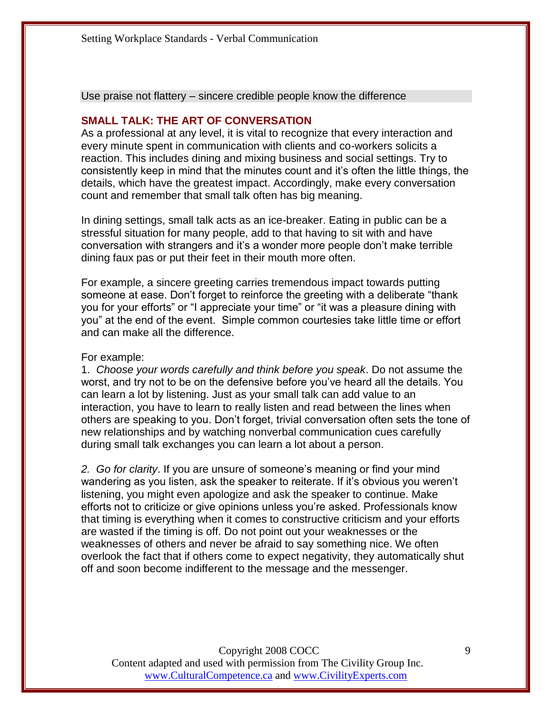Use praise not flattery – sincere credible people know the difference

#### **SMALL TALK: THE ART OF CONVERSATION**

As a professional at any level, it is vital to recognize that every interaction and every minute spent in communication with clients and co-workers solicits a reaction. This includes dining and mixing business and social settings. Try to consistently keep in mind that the minutes count and it's often the little things, the details, which have the greatest impact. Accordingly, make every conversation count and remember that small talk often has big meaning.

In dining settings, small talk acts as an ice-breaker. Eating in public can be a stressful situation for many people, add to that having to sit with and have conversation with strangers and it's a wonder more people don't make terrible dining faux pas or put their feet in their mouth more often.

For example, a sincere greeting carries tremendous impact towards putting someone at ease. Don't forget to reinforce the greeting with a deliberate "thank" you for your efforts" or "I appreciate your time" or "it was a pleasure dining with you" at the end of the event. Simple common courtesies take little time or effort and can make all the difference.

#### For example:

1. *Choose your words carefully and think before you speak*. Do not assume the worst, and try not to be on the defensive before you've heard all the details. You can learn a lot by listening. Just as your small talk can add value to an interaction, you have to learn to really listen and read between the lines when others are speaking to you. Don't forget, trivial conversation often sets the tone of new relationships and by watching nonverbal communication cues carefully during small talk exchanges you can learn a lot about a person.

*2. Go for clarity*. If you are unsure of someone's meaning or find your mind wandering as you listen, ask the speaker to reiterate. If it's obvious you weren't listening, you might even apologize and ask the speaker to continue. Make efforts not to criticize or give opinions unless you're asked. Professionals know that timing is everything when it comes to constructive criticism and your efforts are wasted if the timing is off. Do not point out your weaknesses or the weaknesses of others and never be afraid to say something nice. We often overlook the fact that if others come to expect negativity, they automatically shut off and soon become indifferent to the message and the messenger.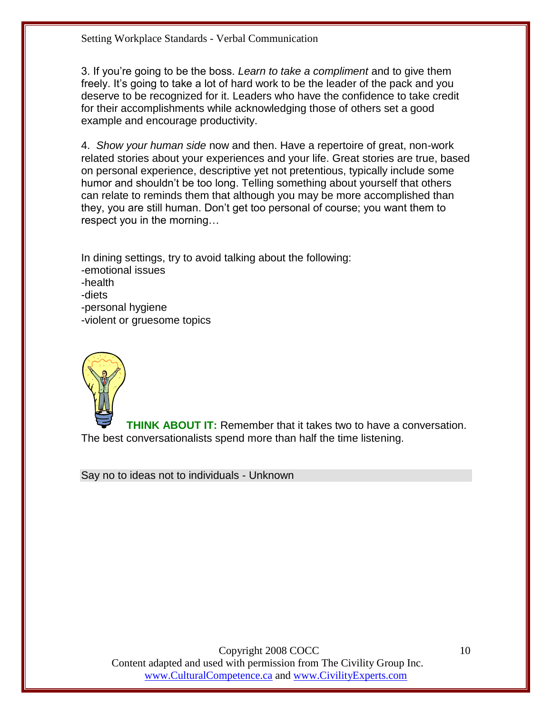3. If you're going to be the boss. *Learn to take a compliment* and to give them freely. It's going to take a lot of hard work to be the leader of the pack and you deserve to be recognized for it. Leaders who have the confidence to take credit for their accomplishments while acknowledging those of others set a good example and encourage productivity.

4. *Show your human side* now and then. Have a repertoire of great, non-work related stories about your experiences and your life. Great stories are true, based on personal experience, descriptive yet not pretentious, typically include some humor and shouldn't be too long. Telling something about yourself that others can relate to reminds them that although you may be more accomplished than they, you are still human. Don't get too personal of course; you want them to respect you in the morning…

In dining settings, try to avoid talking about the following: -emotional issues -health -diets -personal hygiene -violent or gruesome topics



**THINK ABOUT IT:** Remember that it takes two to have a conversation. The best conversationalists spend more than half the time listening.

Say no to ideas not to individuals - Unknown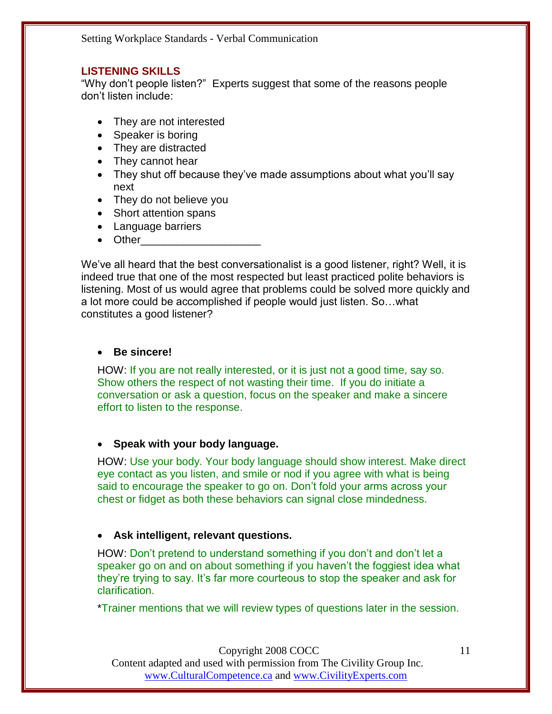#### **LISTENING SKILLS**

"Why don't people listen?" Experts suggest that some of the reasons people don't listen include:

- They are not interested
- Speaker is boring
- They are distracted
- They cannot hear
- They shut off because they've made assumptions about what you'll say next
- They do not believe you
- Short attention spans
- Language barriers
- Other

We've all heard that the best conversationalist is a good listener, right? Well, it is indeed true that one of the most respected but least practiced polite behaviors is listening. Most of us would agree that problems could be solved more quickly and a lot more could be accomplished if people would just listen. So…what constitutes a good listener?

#### **Be sincere!**

HOW: If you are not really interested, or it is just not a good time, say so. Show others the respect of not wasting their time. If you do initiate a conversation or ask a question, focus on the speaker and make a sincere effort to listen to the response.

#### **Speak with your body language.**

HOW: Use your body. Your body language should show interest. Make direct eye contact as you listen, and smile or nod if you agree with what is being said to encourage the speaker to go on. Don't fold your arms across your chest or fidget as both these behaviors can signal close mindedness.

#### **Ask intelligent, relevant questions.**

HOW: Don't pretend to understand something if you don't and don't let a speaker go on and on about something if you haven't the foggiest idea what they're trying to say. It's far more courteous to stop the speaker and ask for clarification.

\*Trainer mentions that we will review types of questions later in the session.

Copyright 2008 COCC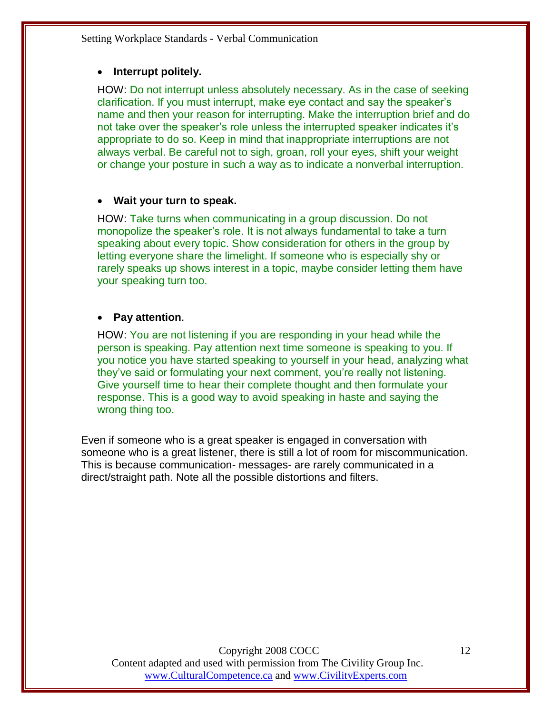#### **Interrupt politely.**

HOW: Do not interrupt unless absolutely necessary. As in the case of seeking clarification. If you must interrupt, make eye contact and say the speaker's name and then your reason for interrupting. Make the interruption brief and do not take over the speaker's role unless the interrupted speaker indicates it's appropriate to do so. Keep in mind that inappropriate interruptions are not always verbal. Be careful not to sigh, groan, roll your eyes, shift your weight or change your posture in such a way as to indicate a nonverbal interruption.

#### **Wait your turn to speak.**

HOW: Take turns when communicating in a group discussion. Do not monopolize the speaker's role. It is not always fundamental to take a turn speaking about every topic. Show consideration for others in the group by letting everyone share the limelight. If someone who is especially shy or rarely speaks up shows interest in a topic, maybe consider letting them have your speaking turn too.

#### **Pay attention**.

HOW: You are not listening if you are responding in your head while the person is speaking. Pay attention next time someone is speaking to you. If you notice you have started speaking to yourself in your head, analyzing what they've said or formulating your next comment, you're really not listening. Give yourself time to hear their complete thought and then formulate your response. This is a good way to avoid speaking in haste and saying the wrong thing too.

Even if someone who is a great speaker is engaged in conversation with someone who is a great listener, there is still a lot of room for miscommunication. This is because communication- messages- are rarely communicated in a direct/straight path. Note all the possible distortions and filters.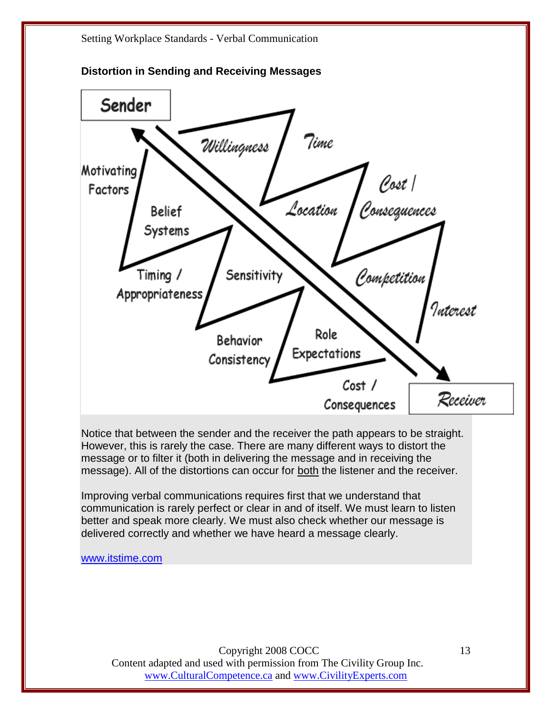

**Distortion in Sending and Receiving Messages**

Notice that between the sender and the receiver the path appears to be straight. However, this is rarely the case. There are many different ways to distort the message or to filter it (both in delivering the message and in receiving the message). All of the distortions can occur for both the listener and the receiver.

Improving verbal communications requires first that we understand that communication is rarely perfect or clear in and of itself. We must learn to listen better and speak more clearly. We must also check whether our message is delivered correctly and whether we have heard a message clearly.

[www.itstime.com](http://www.itstime.com/)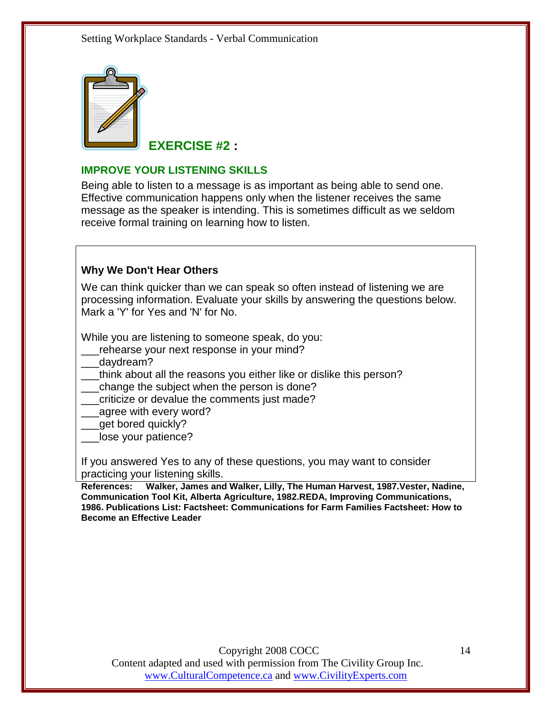

**EXERCISE #2 :** 

#### **IMPROVE YOUR LISTENING SKILLS**

Being able to listen to a message is as important as being able to send one. Effective communication happens only when the listener receives the same message as the speaker is intending. This is sometimes difficult as we seldom receive formal training on learning how to listen.

#### **Why We Don't Hear Others**

We can think quicker than we can speak so often instead of listening we are processing information. Evaluate your skills by answering the questions below. Mark a 'Y' for Yes and 'N' for No.

While you are listening to someone speak, do you:

- rehearse your next response in your mind?
- daydream?
- think about all the reasons you either like or dislike this person?

change the subject when the person is done?

- criticize or devalue the comments just made?
- agree with every word?
- \_\_\_get bored quickly?
- lose your patience?

If you answered Yes to any of these questions, you may want to consider practicing your listening skills.

**References: Walker, James and Walker, Lilly, The Human Harvest, 1987.Vester, Nadine, Communication Tool Kit, Alberta Agriculture, 1982.REDA, Improving Communications, 1986. Publications List: Factsheet: Communications for Farm Families Factsheet: How to Become an Effective Leader**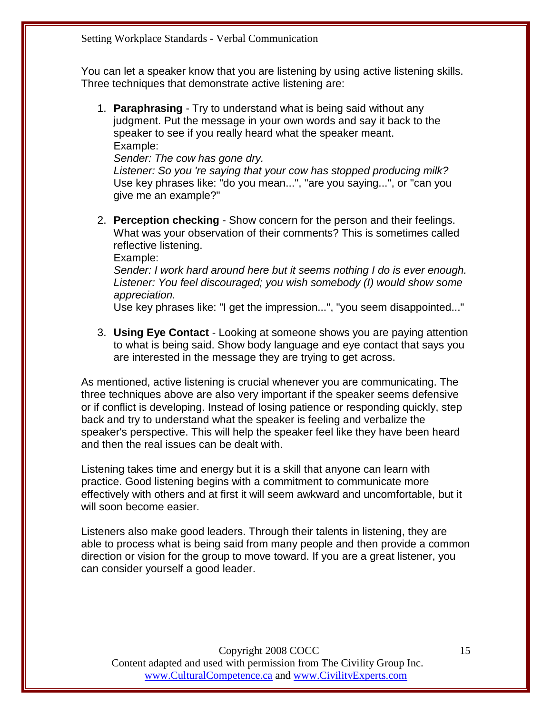You can let a speaker know that you are listening by using active listening skills. Three techniques that demonstrate active listening are:

1. **Paraphrasing** - Try to understand what is being said without any judgment. Put the message in your own words and say it back to the speaker to see if you really heard what the speaker meant. Example:

*Sender: The cow has gone dry.*

*Listener: So you 're saying that your cow has stopped producing milk?* Use key phrases like: "do you mean...", "are you saying...", or "can you give me an example?"

2. **Perception checking** - Show concern for the person and their feelings. What was your observation of their comments? This is sometimes called reflective listening.

Example:

*Sender: I work hard around here but it seems nothing I do is ever enough. Listener: You feel discouraged; you wish somebody (I) would show some appreciation.*

Use key phrases like: "I get the impression...", "you seem disappointed..."

3. **Using Eye Contact** - Looking at someone shows you are paying attention to what is being said. Show body language and eye contact that says you are interested in the message they are trying to get across.

As mentioned, active listening is crucial whenever you are communicating. The three techniques above are also very important if the speaker seems defensive or if conflict is developing. Instead of losing patience or responding quickly, step back and try to understand what the speaker is feeling and verbalize the speaker's perspective. This will help the speaker feel like they have been heard and then the real issues can be dealt with.

Listening takes time and energy but it is a skill that anyone can learn with practice. Good listening begins with a commitment to communicate more effectively with others and at first it will seem awkward and uncomfortable, but it will soon become easier.

Listeners also make good leaders. Through their talents in listening, they are able to process what is being said from many people and then provide a common direction or vision for the group to move toward. If you are a great listener, you can consider yourself a good leader.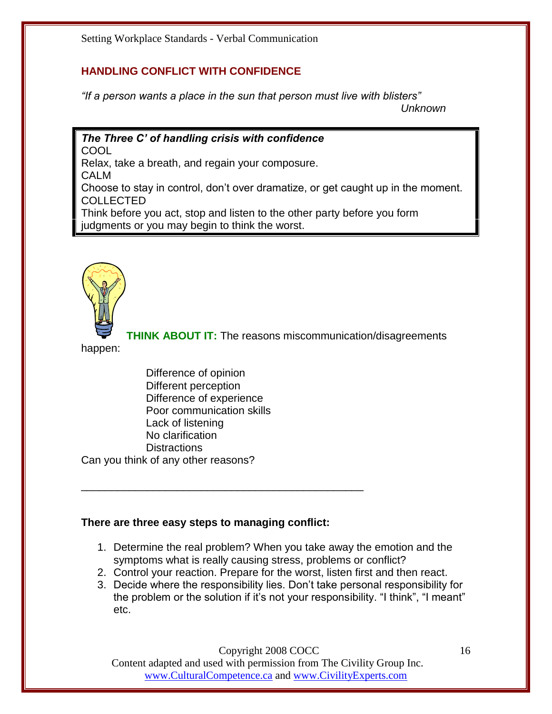#### **HANDLING CONFLICT WITH CONFIDENCE**

*"If a person wants a place in the sun that person must live with blisters"*

 *Unknown*

#### *The Three C' of handling crisis with confidence*

COOL

Relax, take a breath, and regain your composure.

CALM

Choose to stay in control, don't over dramatize, or get caught up in the moment. COLLECTED

Think before you act, stop and listen to the other party before you form judgments or you may begin to think the worst.



**THINK ABOUT IT:** The reasons miscommunication/disagreements

happen:

Difference of opinion Different perception Difference of experience Poor communication skills Lack of listening No clarification **Distractions** Can you think of any other reasons?

#### **There are three easy steps to managing conflict:**

\_\_\_\_\_\_\_\_\_\_\_\_\_\_\_\_\_\_\_\_\_\_\_\_\_\_\_\_\_\_\_\_\_\_\_\_\_\_\_\_\_\_\_\_\_\_\_

- 1. Determine the real problem? When you take away the emotion and the symptoms what is really causing stress, problems or conflict?
- 2. Control your reaction. Prepare for the worst, listen first and then react.
- 3. Decide where the responsibility lies. Don't take personal responsibility for the problem or the solution if it's not your responsibility. "I think", "I meant" etc.

Copyright 2008 COCC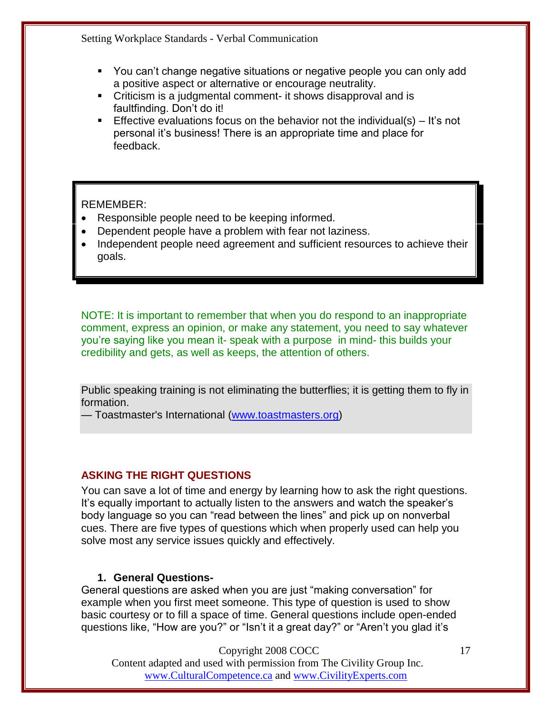- You can't change negative situations or negative people you can only add a positive aspect or alternative or encourage neutrality.
- Criticism is a judgmental comment- it shows disapproval and is faultfinding. Don't do it!
- **Effective evaluations focus on the behavior not the individual(s) It's not** personal it's business! There is an appropriate time and place for feedback.

#### REMEMBER:

- Responsible people need to be keeping informed.
- Dependent people have a problem with fear not laziness.
- Independent people need agreement and sufficient resources to achieve their goals.

NOTE: It is important to remember that when you do respond to an inappropriate comment, express an opinion, or make any statement, you need to say whatever you're saying like you mean it- speak with a purpose in mind- this builds your credibility and gets, as well as keeps, the attention of others.

Public speaking training is not eliminating the butterflies; it is getting them to fly in formation.

— Toastmaster's International [\(www.toastmasters.org\)](http://www.toastmasters.org/)

#### **ASKING THE RIGHT QUESTIONS**

You can save a lot of time and energy by learning how to ask the right questions. It's equally important to actually listen to the answers and watch the speaker's body language so you can "read between the lines" and pick up on nonverbal cues. There are five types of questions which when properly used can help you solve most any service issues quickly and effectively.

#### **1. General Questions-**

General questions are asked when you are just "making conversation" for example when you first meet someone. This type of question is used to show basic courtesy or to fill a space of time. General questions include open-ended questions like, "How are you?" or "Isn't it a great day?" or "Aren't you glad it's

Copyright 2008 COCC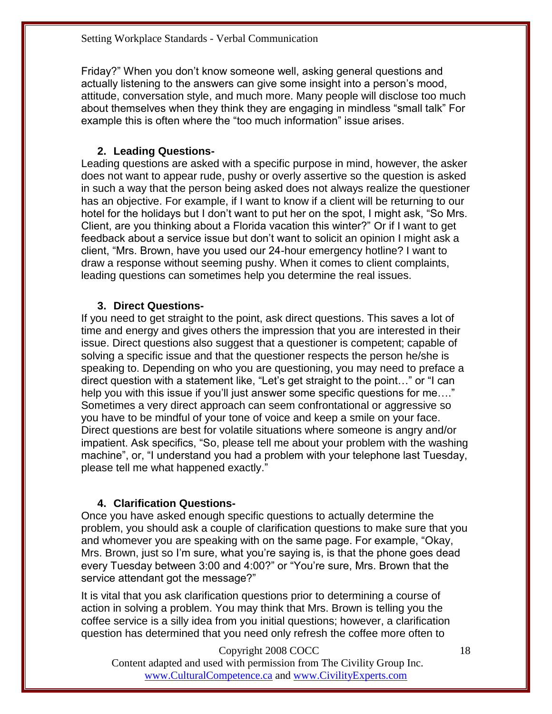Friday?‖ When you don't know someone well, asking general questions and actually listening to the answers can give some insight into a person's mood, attitude, conversation style, and much more. Many people will disclose too much about themselves when they think they are engaging in mindless "small talk" For example this is often where the "too much information" issue arises.

#### **2. Leading Questions-**

Leading questions are asked with a specific purpose in mind, however, the asker does not want to appear rude, pushy or overly assertive so the question is asked in such a way that the person being asked does not always realize the questioner has an objective. For example, if I want to know if a client will be returning to our hotel for the holidays but I don't want to put her on the spot, I might ask, "So Mrs. Client, are you thinking about a Florida vacation this winter?" Or if I want to get feedback about a service issue but don't want to solicit an opinion I might ask a client, ―Mrs. Brown, have you used our 24-hour emergency hotline? I want to draw a response without seeming pushy. When it comes to client complaints, leading questions can sometimes help you determine the real issues.

#### **3. Direct Questions-**

If you need to get straight to the point, ask direct questions. This saves a lot of time and energy and gives others the impression that you are interested in their issue. Direct questions also suggest that a questioner is competent; capable of solving a specific issue and that the questioner respects the person he/she is speaking to. Depending on who you are questioning, you may need to preface a direct question with a statement like, "Let's get straight to the point..." or "I can help you with this issue if you'll just answer some specific questions for me...." Sometimes a very direct approach can seem confrontational or aggressive so you have to be mindful of your tone of voice and keep a smile on your face. Direct questions are best for volatile situations where someone is angry and/or impatient. Ask specifics, "So, please tell me about your problem with the washing machine", or, "I understand you had a problem with your telephone last Tuesday, please tell me what happened exactly.‖

#### **4. Clarification Questions-**

Once you have asked enough specific questions to actually determine the problem, you should ask a couple of clarification questions to make sure that you and whomever you are speaking with on the same page. For example, "Okay, Mrs. Brown, just so I'm sure, what you're saying is, is that the phone goes dead every Tuesday between 3:00 and 4:00?" or "You're sure, Mrs. Brown that the service attendant got the message?"

It is vital that you ask clarification questions prior to determining a course of action in solving a problem. You may think that Mrs. Brown is telling you the coffee service is a silly idea from you initial questions; however, a clarification question has determined that you need only refresh the coffee more often to

Copyright 2008 COCC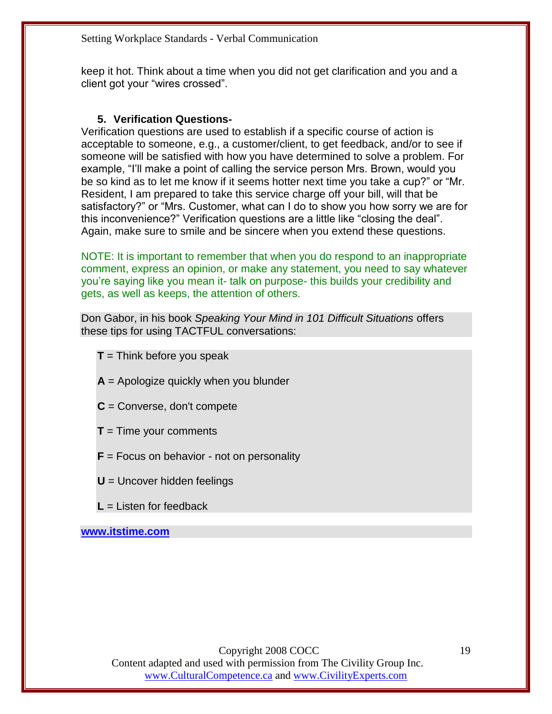keep it hot. Think about a time when you did not get clarification and you and a client got your "wires crossed".

#### **5. Verification Questions-**

Verification questions are used to establish if a specific course of action is acceptable to someone, e.g., a customer/client, to get feedback, and/or to see if someone will be satisfied with how you have determined to solve a problem. For example, "I'll make a point of calling the service person Mrs. Brown, would you be so kind as to let me know if it seems hotter next time you take a cup?" or "Mr. Resident, I am prepared to take this service charge off your bill, will that be satisfactory?" or "Mrs. Customer, what can I do to show you how sorry we are for this inconvenience?" Verification questions are a little like "closing the deal". Again, make sure to smile and be sincere when you extend these questions.

NOTE: It is important to remember that when you do respond to an inappropriate comment, express an opinion, or make any statement, you need to say whatever you're saying like you mean it- talk on purpose- this builds your credibility and gets, as well as keeps, the attention of others.

Don Gabor, in his book *Speaking Your Mind in 101 Difficult Situations* offers these tips for using TACTFUL conversations:

- **T** = Think before you speak
- **A** = Apologize quickly when you blunder
- **C** = Converse, don't compete
- **T** = Time your comments
- **F** = Focus on behavior not on personality
- **U** = Uncover hidden feelings
- **L** = Listen for feedback

**[www.itstime.com](http://www.itstime.com/)**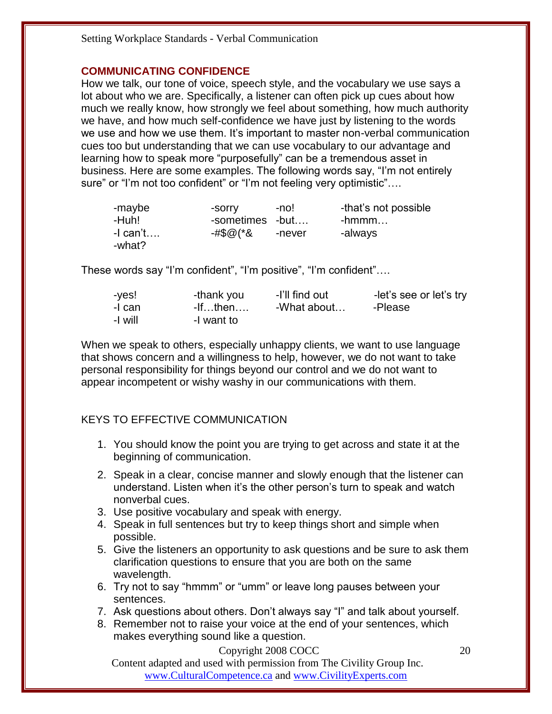#### **COMMUNICATING CONFIDENCE**

How we talk, our tone of voice, speech style, and the vocabulary we use says a lot about who we are. Specifically, a listener can often pick up cues about how much we really know, how strongly we feel about something, how much authority we have, and how much self-confidence we have just by listening to the words we use and how we use them. It's important to master non-verbal communication cues too but understanding that we can use vocabulary to our advantage and learning how to speak more "purposefully" can be a tremendous asset in business. Here are some examples. The following words say, "I'm not entirely sure" or "I'm not too confident" or "I'm not feeling very optimistic"....

| -maybe     | -sorry          | -no!   | -that's not possible |
|------------|-----------------|--------|----------------------|
| -Huh!      | -sometimes -but |        | $-$ hmmm             |
| $-I$ can't | -#\$@(*&        | -never | -always              |
| -what?     |                 |        |                      |

These words say "I'm confident", "I'm positive", "I'm confident"....

| -yes!   | -thank you    | -I'll find out | -let's see or let's try |
|---------|---------------|----------------|-------------------------|
| -I can  | $-If$ then $$ | -What about    | -Please                 |
| -I will | -I want to    |                |                         |

When we speak to others, especially unhappy clients, we want to use language that shows concern and a willingness to help, however, we do not want to take personal responsibility for things beyond our control and we do not want to appear incompetent or wishy washy in our communications with them.

#### KEYS TO EFFECTIVE COMMUNICATION

- 1. You should know the point you are trying to get across and state it at the beginning of communication.
- 2. Speak in a clear, concise manner and slowly enough that the listener can understand. Listen when it's the other person's turn to speak and watch nonverbal cues.
- 3. Use positive vocabulary and speak with energy.
- 4. Speak in full sentences but try to keep things short and simple when possible.
- 5. Give the listeners an opportunity to ask questions and be sure to ask them clarification questions to ensure that you are both on the same wavelength.
- 6. Try not to say "hmmm" or "umm" or leave long pauses between your sentences.
- 7. Ask questions about others. Don't always say "I" and talk about yourself.
- 8. Remember not to raise your voice at the end of your sentences, which makes everything sound like a question.

Copyright 2008 COCC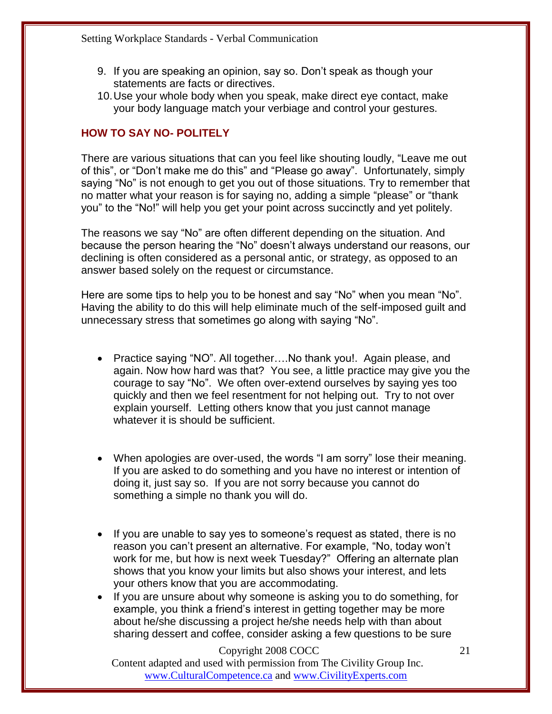- 9. If you are speaking an opinion, say so. Don't speak as though your statements are facts or directives.
- 10.Use your whole body when you speak, make direct eye contact, make your body language match your verbiage and control your gestures.

#### **HOW TO SAY NO- POLITELY**

There are various situations that can you feel like shouting loudly, "Leave me out of this", or "Don't make me do this" and "Please go away". Unfortunately, simply saying "No" is not enough to get you out of those situations. Try to remember that no matter what your reason is for saying no, adding a simple "please" or "thank you" to the "No!" will help you get your point across succinctly and yet politely.

The reasons we say "No" are often different depending on the situation. And because the person hearing the "No" doesn't always understand our reasons, our declining is often considered as a personal antic, or strategy, as opposed to an answer based solely on the request or circumstance.

Here are some tips to help you to be honest and say "No" when you mean "No". Having the ability to do this will help eliminate much of the self-imposed guilt and unnecessary stress that sometimes go along with saying "No".

- Practice saying "NO". All together....No thank you!. Again please, and again. Now how hard was that? You see, a little practice may give you the courage to say "No". We often over-extend ourselves by saying yes too quickly and then we feel resentment for not helping out. Try to not over explain yourself. Letting others know that you just cannot manage whatever it is should be sufficient.
- When apologies are over-used, the words "I am sorry" lose their meaning. If you are asked to do something and you have no interest or intention of doing it, just say so. If you are not sorry because you cannot do something a simple no thank you will do.
- If you are unable to say yes to someone's request as stated, there is no reason you can't present an alternative. For example, "No, today won't work for me, but how is next week Tuesday?" Offering an alternate plan shows that you know your limits but also shows your interest, and lets your others know that you are accommodating.
- If you are unsure about why someone is asking you to do something, for example, you think a friend's interest in getting together may be more about he/she discussing a project he/she needs help with than about sharing dessert and coffee, consider asking a few questions to be sure

#### Copyright 2008 COCC